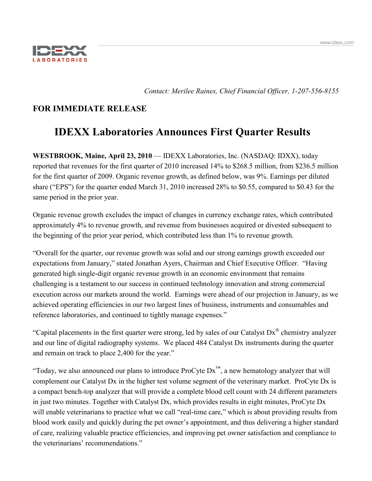

*Contact: Merilee Raines, Chief Financial Officer, 1-207-556-8155*

## **FOR IMMEDIATE RELEASE**

# **IDEXX Laboratories Announces First Quarter Results**

**WESTBROOK, Maine, April 23, 2010** — IDEXX Laboratories, Inc. (NASDAQ: IDXX), today reported that revenues for the first quarter of 2010 increased 14% to \$268.5 million, from \$236.5 million for the first quarter of 2009. Organic revenue growth, as defined below, was 9%. Earnings per diluted share ("EPS") for the quarter ended March 31, 2010 increased 28% to \$0.55, compared to \$0.43 for the same period in the prior year.

Organic revenue growth excludes the impact of changes in currency exchange rates, which contributed approximately 4% to revenue growth, and revenue from businesses acquired or divested subsequent to the beginning of the prior year period, which contributed less than 1% to revenue growth.

"Overall for the quarter, our revenue growth was solid and our strong earnings growth exceeded our expectations from January," stated Jonathan Ayers, Chairman and Chief Executive Officer. "Having generated high single-digit organic revenue growth in an economic environment that remains challenging is a testament to our success in continued technology innovation and strong commercial execution across our markets around the world. Earnings were ahead of our projection in January, as we achieved operating efficiencies in our two largest lines of business, instruments and consumables and reference laboratories, and continued to tightly manage expenses."

"Capital placements in the first quarter were strong, led by sales of our Catalyst Dx® chemistry analyzer and our line of digital radiography systems. We placed 484 Catalyst Dx instruments during the quarter and remain on track to place 2,400 for the year."

"Today, we also announced our plans to introduce ProCyte  $Dx^m$ , a new hematology analyzer that will complement our Catalyst Dx in the higher test volume segment of the veterinary market. ProCyte Dx is a compact bench-top analyzer that will provide a complete blood cell count with 24 different parameters in just two minutes. Together with Catalyst Dx, which provides results in eight minutes, ProCyte Dx will enable veterinarians to practice what we call "real-time care," which is about providing results from blood work easily and quickly during the pet owner's appointment, and thus delivering a higher standard of care, realizing valuable practice efficiencies, and improving pet owner satisfaction and compliance to the veterinarians' recommendations."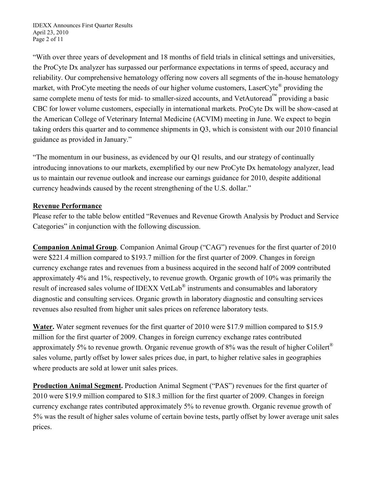IDEXX Announces First Quarter Results April 23, 2010 Page 2 of 11

"With over three years of development and 18 months of field trials in clinical settings and universities, the ProCyte Dx analyzer has surpassed our performance expectations in terms of speed, accuracy and reliability. Our comprehensive hematology offering now covers all segments of the in-house hematology market, with ProCyte meeting the needs of our higher volume customers, LaserCyte<sup>®</sup> providing the same complete menu of tests for mid- to smaller-sized accounts, and VetAutoread™ providing a basic CBC for lower volume customers, especially in international markets. ProCyte Dx will be show-cased at the American College of Veterinary Internal Medicine (ACVIM) meeting in June. We expect to begin taking orders this quarter and to commence shipments in Q3, which is consistent with our 2010 financial guidance as provided in January."

"The momentum in our business, as evidenced by our Q1 results, and our strategy of continually introducing innovations to our markets, exemplified by our new ProCyte Dx hematology analyzer, lead us to maintain our revenue outlook and increase our earnings guidance for 2010, despite additional currency headwinds caused by the recent strengthening of the U.S. dollar."

## **Revenue Performance**

Please refer to the table below entitled "Revenues and Revenue Growth Analysis by Product and Service Categories" in conjunction with the following discussion.

**Companion Animal Group**. Companion Animal Group ("CAG") revenues for the first quarter of 2010 were \$221.4 million compared to \$193.7 million for the first quarter of 2009. Changes in foreign currency exchange rates and revenues from a business acquired in the second half of 2009 contributed approximately 4% and 1%, respectively, to revenue growth. Organic growth of 10% was primarily the result of increased sales volume of IDEXX VetLab<sup>®</sup> instruments and consumables and laboratory diagnostic and consulting services. Organic growth in laboratory diagnostic and consulting services revenues also resulted from higher unit sales prices on reference laboratory tests.

**Water.** Water segment revenues for the first quarter of 2010 were \$17.9 million compared to \$15.9 million for the first quarter of 2009. Changes in foreign currency exchange rates contributed approximately 5% to revenue growth. Organic revenue growth of 8% was the result of higher Colilert<sup>®</sup> sales volume, partly offset by lower sales prices due, in part, to higher relative sales in geographies where products are sold at lower unit sales prices.

**Production Animal Segment.** Production Animal Segment ("PAS") revenues for the first quarter of 2010 were \$19.9 million compared to \$18.3 million for the first quarter of 2009. Changes in foreign currency exchange rates contributed approximately 5% to revenue growth. Organic revenue growth of 5% was the result of higher sales volume of certain bovine tests, partly offset by lower average unit sales prices.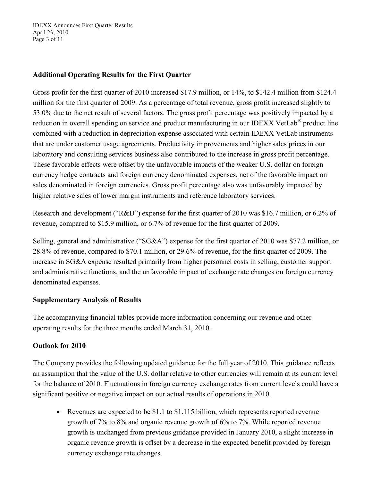IDEXX Announces First Quarter Results April 23, 2010 Page 3 of 11

## **Additional Operating Results for the First Quarter**

Gross profit for the first quarter of 2010 increased \$17.9 million, or 14%, to \$142.4 million from \$124.4 million for the first quarter of 2009. As a percentage of total revenue, gross profit increased slightly to 53.0% due to the net result of several factors. The gross profit percentage was positively impacted by a reduction in overall spending on service and product manufacturing in our IDEXX VetLab® product line combined with a reduction in depreciation expense associated with certain IDEXX VetLab instruments that are under customer usage agreements. Productivity improvements and higher sales prices in our laboratory and consulting services business also contributed to the increase in gross profit percentage. These favorable effects were offset by the unfavorable impacts of the weaker U.S. dollar on foreign currency hedge contracts and foreign currency denominated expenses, net of the favorable impact on sales denominated in foreign currencies. Gross profit percentage also was unfavorably impacted by higher relative sales of lower margin instruments and reference laboratory services.

Research and development ("R&D") expense for the first quarter of 2010 was \$16.7 million, or 6.2% of revenue, compared to \$15.9 million, or 6.7% of revenue for the first quarter of 2009.

Selling, general and administrative ("SG&A") expense for the first quarter of 2010 was \$77.2 million, or 28.8% of revenue, compared to \$70.1 million, or 29.6% of revenue, for the first quarter of 2009. The increase in SG&A expense resulted primarily from higher personnel costs in selling, customer support and administrative functions, and the unfavorable impact of exchange rate changes on foreign currency denominated expenses.

## **Supplementary Analysis of Results**

The accompanying financial tables provide more information concerning our revenue and other operating results for the three months ended March 31, 2010.

## **Outlook for 2010**

The Company provides the following updated guidance for the full year of 2010. This guidance reflects an assumption that the value of the U.S. dollar relative to other currencies will remain at its current level for the balance of 2010. Fluctuations in foreign currency exchange rates from current levels could have a significant positive or negative impact on our actual results of operations in 2010.

• Revenues are expected to be \$1.1 to \$1.115 billion, which represents reported revenue growth of 7% to 8% and organic revenue growth of 6% to 7%. While reported revenue growth is unchanged from previous guidance provided in January 2010, a slight increase in organic revenue growth is offset by a decrease in the expected benefit provided by foreign currency exchange rate changes.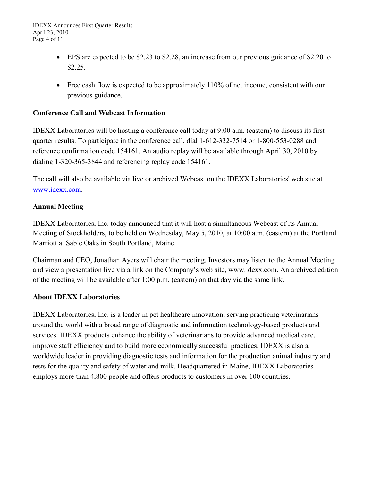- EPS are expected to be \$2.23 to \$2.28, an increase from our previous guidance of \$2.20 to \$2.25.
- Free cash flow is expected to be approximately 110% of net income, consistent with our previous guidance.

## **Conference Call and Webcast Information**

IDEXX Laboratories will be hosting a conference call today at 9:00 a.m. (eastern) to discuss its first quarter results. To participate in the conference call, dial 1-612-332-7514 or 1-800-553-0288 and reference confirmation code 154161. An audio replay will be available through April 30, 2010 by dialing 1-320-365-3844 and referencing replay code 154161.

The call will also be available via live or archived Webcast on the IDEXX Laboratories' web site at [www.idexx.com.](http://www.idexx.com/)

## **Annual Meeting**

IDEXX Laboratories, Inc. today announced that it will host a simultaneous Webcast of its Annual Meeting of Stockholders, to be held on Wednesday, May 5, 2010, at 10:00 a.m. (eastern) at the Portland Marriott at Sable Oaks in South Portland, Maine.

Chairman and CEO, Jonathan Ayers will chair the meeting. Investors may listen to the Annual Meeting and view a presentation live via a link on the Company's web site, www.idexx.com. An archived edition of the meeting will be available after 1:00 p.m. (eastern) on that day via the same link.

## **About IDEXX Laboratories**

IDEXX Laboratories, Inc. is a leader in pet healthcare innovation, serving practicing veterinarians around the world with a broad range of diagnostic and information technology-based products and services. IDEXX products enhance the ability of veterinarians to provide advanced medical care, improve staff efficiency and to build more economically successful practices. IDEXX is also a worldwide leader in providing diagnostic tests and information for the production animal industry and tests for the quality and safety of water and milk. Headquartered in Maine, IDEXX Laboratories employs more than 4,800 people and offers products to customers in over 100 countries.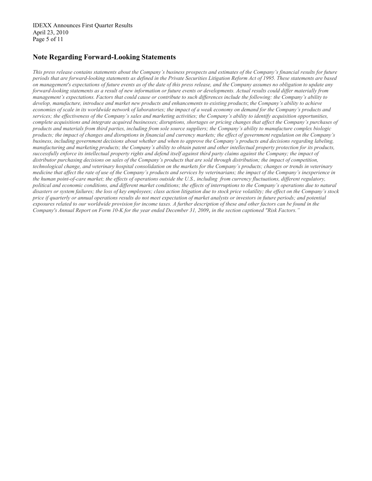### **Note Regarding Forward-Looking Statements**

*This press release contains statements about the Company's business prospects and estimates of the Company's financial results for future periods that are forward-looking statements as defined in the Private Securities Litigation Reform Act of 1995. These statements are based on management's expectations of future events as of the date of this press release, and the Company assumes no obligation to update any forward-looking statements as a result of new information or future events or developments. Actual results could differ materially from management's expectations. Factors that could cause or contribute to such differences include the following: the Company's ability to develop, manufacture, introduce and market new products and enhancements to existing products*; *the Company's ability to achieve economies of scale in its worldwide network of laboratories; the impact of a weak economy on demand for the Company's products and services; the effectiveness of the Company's sales and marketing activities; the Company's ability to identify acquisition opportunities, complete acquisitions and integrate acquired businesses; disruptions, shortages or pricing changes that affect the Company's purchases of products and materials from third parties, including from sole source suppliers; the Company's ability to manufacture complex biologic products; the impact of changes and disruptions in financial and currency markets; the effect of government regulation on the Company's business, including government decisions about whether and when to approve the Company's products and decisions regarding labeling, manufacturing and marketing products; the Company's ability to obtain patent and other intellectual property protection for its products, successfully enforce its intellectual property rights and defend itself against third party claims against the Company; the impact of distributor purchasing decisions on sales of the Company's products that are sold through distribution; the impact of competition, technological change, and veterinary hospital consolidation on the markets for the Company's products; changes or trends in veterinary medicine that affect the rate of use of the Company's products and services by veterinarians; the impact of the Company's inexperience in the human point-of-care market; the effects of operations outside the U.S., including from currency fluctuations, different regulatory, political and economic conditions, and different market conditions; the effects of interruptions to the Company's operations due to natural disasters or system failures; the loss of key employees; class action litigation due to stock price volatility; the effect on the Company's stock price if quarterly or annual operations results do not meet expectation of market analysts or investors in future periods; and potential exposures related to our worldwide provision for income taxes. A further description of these and other factors can be found in the Company's Annual Report on Form 10-K for the year ended December 31, 2009*, *in the section captioned "Risk Factors."*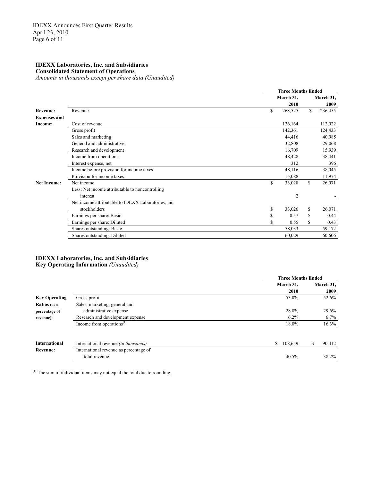#### **IDEXX Laboratories, Inc. and Subsidiaries**

**Consolidated Statement of Operations**

*Amounts in thousands except per share data (Unaudited)*

|                     |                                                     | <b>Three Months Ended</b> |             |           |  |  |
|---------------------|-----------------------------------------------------|---------------------------|-------------|-----------|--|--|
|                     |                                                     | March 31,                 |             | March 31, |  |  |
|                     |                                                     | 2010                      |             | 2009      |  |  |
| <b>Revenue:</b>     | Revenue                                             | \$<br>268,525             | \$          | 236,455   |  |  |
| <b>Expenses and</b> |                                                     |                           |             |           |  |  |
| Income:             | Cost of revenue                                     | 126,164                   |             | 112,022   |  |  |
|                     | Gross profit                                        | 142,361                   |             | 124,433   |  |  |
|                     | Sales and marketing                                 | 44,416                    |             | 40,985    |  |  |
|                     | General and administrative                          | 32,808                    |             | 29,068    |  |  |
|                     | Research and development                            | 16,709                    |             | 15,939    |  |  |
|                     | Income from operations                              | 48,428                    |             | 38,441    |  |  |
|                     | Interest expense, net                               | 312                       |             | 396       |  |  |
|                     | Income before provision for income taxes            | 48,116                    |             | 38,045    |  |  |
|                     | Provision for income taxes                          | 15,088                    |             | 11,974    |  |  |
| <b>Net Income:</b>  | Net income                                          | \$<br>33,028              | \$          | 26,071    |  |  |
|                     | Less: Net income attributable to noncontrolling     |                           |             |           |  |  |
|                     | interest                                            | $\overline{2}$            |             |           |  |  |
|                     | Net income attributable to IDEXX Laboratories, Inc. |                           |             |           |  |  |
|                     | stockholders                                        | \$<br>33,026              | \$          | 26,071    |  |  |
|                     | Earnings per share: Basic                           | \$<br>0.57                | \$          | 0.44      |  |  |
|                     | Earnings per share: Diluted                         | \$<br>0.55                | $\mathbf S$ | 0.43      |  |  |
|                     | Shares outstanding: Basic                           | 58,033                    |             | 59,172    |  |  |
|                     | Shares outstanding: Diluted                         | 60,029                    |             | 60,606    |  |  |

## **IDEXX Laboratories, Inc. and Subsidiaries**

**Key Operating Information** *(Unaudited)*

|                      |                                             | <b>Three Months Ended</b> |              |  |  |  |
|----------------------|---------------------------------------------|---------------------------|--------------|--|--|--|
|                      |                                             | March 31.                 | March 31,    |  |  |  |
|                      |                                             | 2010                      | 2009         |  |  |  |
| <b>Key Operating</b> | Gross profit                                | 53.0%                     | 52.6%        |  |  |  |
| Ratios (as a         | Sales, marketing, general and               |                           |              |  |  |  |
| percentage of        | administrative expense                      | 28.8%                     | 29.6%        |  |  |  |
| revenue):            | Research and development expense            | $6.2\%$                   | 6.7%         |  |  |  |
|                      | Income from operations $^{(1)}$             | 18.0%                     | 16.3%        |  |  |  |
| <b>International</b> | International revenue <i>(in thousands)</i> | \$<br>108,659             | \$<br>90,412 |  |  |  |
| <b>Revenue:</b>      | International revenue as percentage of      |                           |              |  |  |  |
|                      | total revenue                               | 40.5%                     | 38.2%        |  |  |  |

(1) The sum of individual items may not equal the total due to rounding.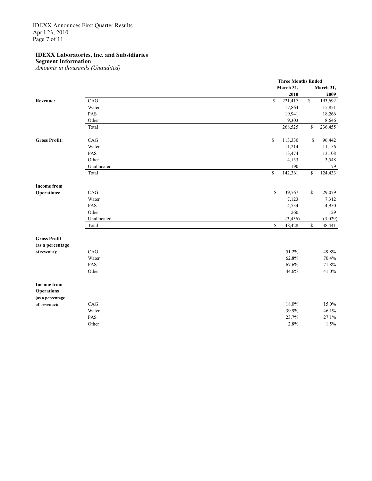IDEXX Announces First Quarter Results April 23, 2010 Page 7 of 11

#### **IDEXX Laboratories, Inc. and Subsidiaries**

**Segment Information**

*Amounts in thousands (Unaudited)*

|                      |             |              | <b>Three Months Ended</b> |              |           |
|----------------------|-------------|--------------|---------------------------|--------------|-----------|
|                      |             |              | March 31,                 |              | March 31, |
|                      |             |              | 2010                      |              | 2009      |
| Revenue:             | CAG         | \$           | 221,417                   | $\mathbb S$  | 193,692   |
|                      | Water       |              | 17,864                    |              | 15,851    |
|                      | PAS         |              | 19,941                    |              | 18,266    |
|                      | Other       |              | 9,303                     |              | 8,646     |
|                      | Total       |              | 268,525                   | \$           | 236,455   |
| <b>Gross Profit:</b> | CAG         | \$           | 113,330                   | \$           | 96,442    |
|                      | Water       |              | 11,214                    |              | 11,156    |
|                      | PAS         |              | 13,474                    |              | 13,108    |
|                      | Other       |              | 4,153                     |              | 3,548     |
|                      | Unallocated |              | 190                       |              | 179       |
|                      | Total       | \$           | 142,361                   | $\mathbb{S}$ | 124,433   |
| <b>Income from</b>   |             |              |                           |              |           |
| <b>Operations:</b>   | CAG         | $\mathbb{S}$ | 39,767                    | \$           | 29,079    |
|                      | Water       |              | 7,123                     |              | 7,312     |
|                      | PAS         |              | 4,734                     |              | 4,950     |
|                      | Other       |              | 260                       |              | 129       |
|                      | Unallocated |              | (3, 456)                  |              | (3,029)   |
|                      | Total       | $\mathbb S$  | 48,428                    | $\mathbb S$  | 38,441    |
| <b>Gross Profit</b>  |             |              |                           |              |           |
| (as a percentage     |             |              |                           |              |           |
| of revenue):         | CAG         |              | 51.2%                     |              | 49.8%     |
|                      | Water       |              | 62.8%                     |              | 70.4%     |
|                      | PAS         |              | 67.6%                     |              | 71.8%     |
|                      | Other       |              | 44.6%                     |              | 41.0%     |
| <b>Income from</b>   |             |              |                           |              |           |
| <b>Operations</b>    |             |              |                           |              |           |
| (as a percentage     |             |              |                           |              |           |
| of revenue):         | CAG         |              | 18.0%                     |              | 15.0%     |
|                      | Water       |              | 39.9%                     |              | 46.1%     |
|                      | PAS         |              | 23.7%                     |              | 27.1%     |
|                      | Other       |              | 2.8%                      |              | 1.5%      |
|                      |             |              |                           |              |           |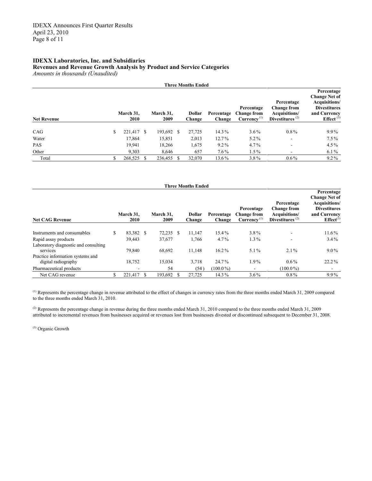#### **IDEXX Laboratories, Inc. and Subsidiaries Revenues and Revenue Growth Analysis by Product and Service Categories** *Amounts in thousands (Unaudited)*

**Three Months Ended**

| <b>Net Revenue</b> |    | March 31,<br>2010 |     | March 31.<br>2009 |    | <b>Dollar</b><br>Change | Percentage<br>Change | Percentage<br><b>Change from</b><br>Currence <sup>(1)</sup> | Percentage<br><b>Change from</b><br>Acquisitions/<br>Divestitures $(2)$ | <b>Change Net of</b><br>Acquisitions/<br><b>Divestitures</b><br>and Currency<br>Effect $(3)$ |
|--------------------|----|-------------------|-----|-------------------|----|-------------------------|----------------------|-------------------------------------------------------------|-------------------------------------------------------------------------|----------------------------------------------------------------------------------------------|
|                    |    |                   |     |                   |    |                         |                      |                                                             |                                                                         |                                                                                              |
| CAG                | S. | 221,417           | - S | 193,692           | -S | 27,725                  | 14.3%                | $3.6\%$                                                     | $0.8\%$                                                                 | $9.9\%$                                                                                      |
| Water              |    | 17,864            |     | 15,851            |    | 2,013                   | $12.7\%$             | $5.2\%$                                                     | $\overline{\phantom{a}}$                                                | $7.5\%$                                                                                      |
| <b>PAS</b>         |    | 19,941            |     | 18,266            |    | 1,675                   | $9.2\%$              | $4.7\%$                                                     | ۰                                                                       | $4.5\%$                                                                                      |
| Other              |    | 9.303             |     | 8,646             |    | 657                     | $7.6\%$              | $1.5\%$                                                     |                                                                         | $6.1\%$                                                                                      |
| Total              |    | 268,525           |     | 236,455           |    | 32,070                  | 13.6%                | $3.8\%$                                                     | $0.6\%$                                                                 | $9.2\%$                                                                                      |

**Percentage**

| <b>Three Months Ended</b>                               |    |                   |     |                   |     |                         |                      |                                                      |                                                                         |                                                                                                                     |
|---------------------------------------------------------|----|-------------------|-----|-------------------|-----|-------------------------|----------------------|------------------------------------------------------|-------------------------------------------------------------------------|---------------------------------------------------------------------------------------------------------------------|
| <b>Net CAG Revenue</b>                                  |    | March 31.<br>2010 |     | March 31.<br>2009 |     | <b>Dollar</b><br>Change | Percentage<br>Change | Percentage<br><b>Change from</b><br>$Curreney^{(1)}$ | Percentage<br><b>Change from</b><br>Acquisitions/<br>Divestitures $(2)$ | Percentage<br><b>Change Net of</b><br>Acquisitions/<br><b>Divestitures</b><br>and Currency<br>Effect <sup>(3)</sup> |
| Instruments and consumables                             | \$ | 83,382            | -S  | 72,235            | S   | 11,147                  | $15.4\%$             | $3.8\%$                                              |                                                                         | $11.6\%$                                                                                                            |
| Rapid assay products                                    |    | 39,443            |     | 37.677            |     | 1,766                   | $4.7\%$              | $1.3\%$                                              | -                                                                       | $3.4\%$                                                                                                             |
| Laboratory diagnostic and consulting<br>services        |    | 79,840            |     | 68,692            |     | 11,148                  | $16.2\%$             | $5.1\%$                                              | $2.1\%$                                                                 | $9.0\%$                                                                                                             |
| Practice information systems and<br>digital radiography |    | 18,752            |     | 15,034            |     | 3,718                   | 24.7%                | $1.9\%$                                              | $0.6\%$                                                                 | $22.2\%$                                                                                                            |
| Pharmaceutical products                                 |    |                   |     | 54                |     | (54)                    | $(100.0\%)$          | $\overline{\phantom{a}}$                             | $(100.0\%)$                                                             | ۰                                                                                                                   |
| Net CAG revenue                                         |    | 221.417           | \$. | 193,692           | \$. | 27,725                  | $14.3\%$             | $3.6\%$                                              | $0.8\%$                                                                 | $9.9\%$                                                                                                             |

 $^{(1)}$  Represents the percentage change in revenue attributed to the effect of changes in currency rates from the three months ended March 31, 2009 compared to the three months ended March 31, 2010.

<sup>(2)</sup> Represents the percentage change in revenue during the three months ended March 31, 2010 compared to the three months ended March 31, 2009 attributed to incremental revenues from businesses acquired or revenues lost from businesses divested or discontinued subsequent to December 31, 2008.

(3) Organic Growth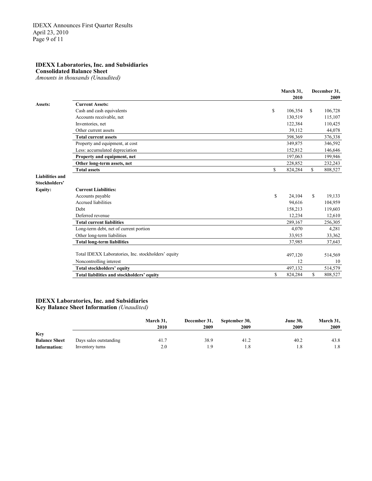#### **IDEXX Laboratories, Inc. and Subsidiaries**

**Consolidated Balance Sheet**

*Amounts in thousands (Unaudited)*

|                        |                                                     |    | March 31, |    | December 31, |  |  |
|------------------------|-----------------------------------------------------|----|-----------|----|--------------|--|--|
|                        |                                                     |    | 2010      |    | 2009         |  |  |
| Assets:                | <b>Current Assets:</b>                              |    |           |    |              |  |  |
|                        | Cash and cash equivalents                           | \$ | 106,354   | S. | 106,728      |  |  |
|                        | Accounts receivable, net                            |    | 130.519   |    | 115,107      |  |  |
|                        | Inventories, net                                    |    | 122,384   |    | 110,425      |  |  |
|                        | Other current assets                                |    | 39,112    |    | 44,078       |  |  |
|                        | <b>Total current assets</b>                         |    | 398,369   |    | 376,338      |  |  |
|                        | Property and equipment, at cost                     |    | 349,875   |    | 346,592      |  |  |
|                        | Less: accumulated depreciation                      |    | 152,812   |    | 146,646      |  |  |
|                        | Property and equipment, net                         |    | 197,063   |    | 199,946      |  |  |
|                        | Other long-term assets, net                         |    | 228,852   |    | 232,243      |  |  |
|                        | <b>Total assets</b>                                 | \$ | 824,284   | \$ | 808,527      |  |  |
| <b>Liabilities and</b> |                                                     |    |           |    |              |  |  |
| Stockholders'          |                                                     |    |           |    |              |  |  |
| <b>Equity:</b>         | <b>Current Liabilities:</b>                         |    |           |    |              |  |  |
|                        | Accounts payable                                    | S  | 24,104    | S. | 19,133       |  |  |
|                        | Accrued liabilities                                 |    | 94,616    |    | 104,959      |  |  |
|                        | Debt                                                |    | 158,213   |    | 119,603      |  |  |
|                        | Deferred revenue                                    |    | 12,234    |    | 12,610       |  |  |
|                        | <b>Total current liabilities</b>                    |    | 289,167   |    | 256,305      |  |  |
|                        | Long-term debt, net of current portion              |    | 4.070     |    | 4,281        |  |  |
|                        | Other long-term liabilities                         |    | 33,915    |    | 33,362       |  |  |
|                        | <b>Total long-term liabilities</b>                  |    | 37,985    |    | 37,643       |  |  |
|                        |                                                     |    |           |    |              |  |  |
|                        | Total IDEXX Laboratories, Inc. stockholders' equity |    | 497,120   |    | 514,569      |  |  |
|                        | Noncontrolling interest                             |    | 12        |    | 10           |  |  |
|                        | Total stockholders' equity                          |    | 497,132   |    | 514,579      |  |  |
|                        | Total liabilities and stockholders' equity          | \$ | 824,284   | S  | 808,527      |  |  |

#### **IDEXX Laboratories, Inc. and Subsidiaries Key Balance Sheet Information** *(Unaudited)*

|                      |                        | March 31. | December 31, | September 30, | <b>June 30,</b> | March 31, |
|----------------------|------------------------|-----------|--------------|---------------|-----------------|-----------|
|                      |                        | 2010      | 2009         | 2009          | 2009            | 2009      |
| <b>Key</b>           |                        |           |              |               |                 |           |
| <b>Balance Sheet</b> | Days sales outstanding | 41.7      | 38.9         | 41.2          | 40.2            | 43.8      |
| Information:         | Inventory turns        | 2.0       | ıο           | 1.8           | 1.8             | 1.8       |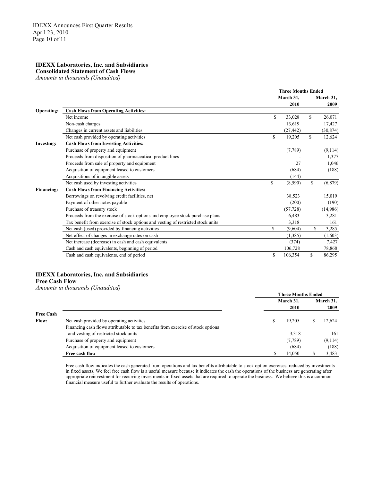#### **IDEXX Laboratories, Inc. and Subsidiaries**

**Consolidated Statement of Cash Flows**

*Amounts in thousands (Unaudited)*

|                   |                                                                                  | <b>Three Months Ended</b> |           |     |           |
|-------------------|----------------------------------------------------------------------------------|---------------------------|-----------|-----|-----------|
|                   |                                                                                  |                           | March 31, |     | March 31, |
|                   |                                                                                  |                           | 2010      |     | 2009      |
| Operating:        | <b>Cash Flows from Operating Activities:</b>                                     |                           |           |     |           |
|                   | Net income                                                                       | \$                        | 33,028    | \$  | 26,071    |
|                   | Non-cash charges                                                                 |                           | 13,619    |     | 17,427    |
|                   | Changes in current assets and liabilities                                        |                           | (27, 442) |     | (30, 874) |
|                   | Net cash provided by operating activities                                        | \$                        | 19,205    | S   | 12,624    |
| <b>Investing:</b> | <b>Cash Flows from Investing Activities:</b>                                     |                           |           |     |           |
|                   | Purchase of property and equipment                                               |                           | (7,789)   |     | (9,114)   |
|                   | Proceeds from disposition of pharmaceutical product lines                        |                           |           |     | 1,377     |
|                   | Proceeds from sale of property and equipment                                     |                           | 27        |     | 1,046     |
|                   | Acquisition of equipment leased to customers                                     |                           | (684)     |     | (188)     |
|                   | Acquisitions of intangible assets                                                |                           | (144)     |     |           |
|                   | Net cash used by investing activities                                            | \$                        | (8,590)   | \$  | (6, 879)  |
| <b>Financing:</b> | <b>Cash Flows from Financing Activities:</b>                                     |                           |           |     |           |
|                   | Borrowings on revolving credit facilities, net                                   |                           | 38,523    |     | 15,019    |
|                   | Payment of other notes payable                                                   |                           | (200)     |     | (190)     |
|                   | Purchase of treasury stock                                                       |                           | (57, 728) |     | (14,986)  |
|                   | Proceeds from the exercise of stock options and employee stock purchase plans    |                           | 6,483     |     | 3,281     |
|                   | Tax benefit from exercise of stock options and vesting of restricted stock units |                           | 3,318     |     | 161       |
|                   | Net cash (used) provided by financing activities                                 | S                         | (9,604)   | \$. | 3,285     |
|                   | Net effect of changes in exchange rates on cash                                  |                           | (1.385)   |     | (1,603)   |
|                   | Net increase (decrease) in cash and cash equivalents                             |                           | (374)     |     | 7,427     |
|                   | Cash and cash equivalents, beginning of period                                   |                           | 106,728   |     | 78,868    |
|                   | Cash and cash equivalents, end of period                                         | \$                        | 106,354   | \$  | 86,295    |
|                   |                                                                                  |                           |           |     |           |

#### **IDEXX Laboratories, Inc. and Subsidiaries**

#### **Free Cash Flow**

*Amounts in thousands (Unaudited)*

|                  |                                                                                  | <b>Three Months Ended</b> |           |   |         |  |  |
|------------------|----------------------------------------------------------------------------------|---------------------------|-----------|---|---------|--|--|
|                  |                                                                                  |                           | March 31, |   |         |  |  |
|                  |                                                                                  |                           | 2010      |   | 2009    |  |  |
| <b>Free Cash</b> |                                                                                  |                           |           |   |         |  |  |
| <b>Flow:</b>     | Net cash provided by operating activities                                        | S                         | 19,205    | S | 12,624  |  |  |
|                  | Financing cash flows attributable to tax benefits from exercise of stock options |                           |           |   |         |  |  |
|                  | and vesting of restricted stock units                                            |                           | 3,318     |   | 161     |  |  |
|                  | Purchase of property and equipment                                               |                           | (7,789)   |   | (9,114) |  |  |
|                  | Acquisition of equipment leased to customers                                     |                           | (684)     |   | (188)   |  |  |
|                  | Free cash flow                                                                   |                           | 14.050    |   | 3,483   |  |  |

Free cash flow indicates the cash generated from operations and tax benefits attributable to stock option exercises, reduced by investments in fixed assets. We feel free cash flow is a useful measure because it indicates the cash the operations of the business are generating after appropriate reinvestment for recurring investments in fixed assets that are required to operate the business. We believe this is a common financial measure useful to further evaluate the results of operations.